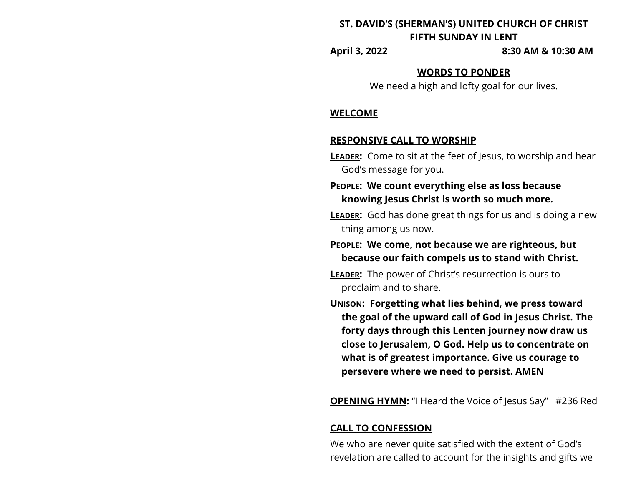# **ST. DAVID'S (SHERMAN'S) UNITED CHURCH OF CHRIST FIFTH SUNDAY IN LENT**

**April 3, 2022 8:30 AM & 10:30 AM**

#### **WORDS TO PONDER**

We need a high and lofty goal for our lives.

#### **WELCOME**

## **RESPONSIVE CALL TO WORSHIP**

- **LEADER:** Come to sit at the feet of Jesus, to worship and hear God's message for you.
- **PEOPLE: We count everything else as loss because knowing Jesus Christ is worth so much more.**
- **LEADER:** God has done great things for us and is doing a new thing among us now.
- **PEOPLE: We come, not because we are righteous, but because our faith compels us to stand with Christ.**
- **LEADER:** The power of Christ's resurrection is ours to proclaim and to share.
- **UNISON: Forgetting what lies behind, we press toward the goal of the upward call of God in Jesus Christ. The forty days through this Lenten journey now draw us close to Jerusalem, O God. Help us to concentrate on what is of greatest importance. Give us courage to persevere where we need to persist. AMEN**

**OPENING HYMN:** "I Heard the Voice of Jesus Say" #236 Red

# **CALL TO CONFESSION**

We who are never quite satisfied with the extent of God's revelation are called to account for the insights and gifts we